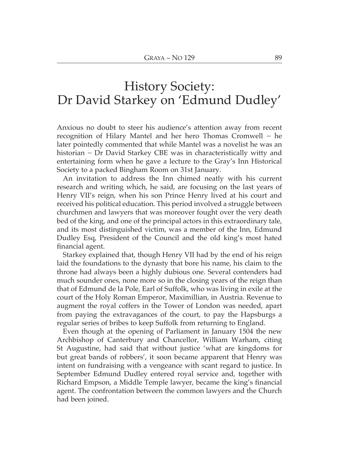## **History Society:** Dr David Starkey on 'Edmund Dudley'

Anxious no doubt to steer his audience's attention away from recent recognition of Hilary Mantel and her hero Thomas Cromwell - he later pointedly commented that while Mantel was a novelist he was an historian – Dr David Starkey CBE was in characteristically witty and entertaining form when he gave a lecture to the Gray's Inn Historical Society to a packed Bingham Room on 31st January.

An invitation to address the Inn chimed neatly with his current research and writing which, he said, are focusing on the last years of Henry VII's reign, when his son Prince Henry lived at his court and received his political education. This period involved a struggle between churchmen and lawyers that was moreover fought over the very death bed of the king, and one of the principal actors in this extraordinary tale, and its most distinguished victim, was a member of the Inn, Edmund Dudley Esq, President of the Council and the old king's most hated financial agent.

Starkey explained that, though Henry VII had by the end of his reign laid the foundations to the dynasty that bore his name, his claim to the throne had always been a highly dubious one. Several contenders had much sounder ones, none more so in the closing years of the reign than that of Edmund de la Pole, Earl of Suffolk, who was living in exile at the court of the Holy Roman Emperor, Maximillian, in Austria. Revenue to augment the royal coffers in the Tower of London was needed, apart from paying the extravagances of the court, to pay the Hapsburgs a regular series of bribes to keep Suffolk from returning to England.

Even though at the opening of Parliament in January 1504 the new Archbishop of Canterbury and Chancellor, William Warham, citing St Augustine, had said that without justice 'what are kingdoms for but great bands of robbers', it soon became apparent that Henry was intent on fundraising with a vengeance with scant regard to justice. In September Edmund Dudley entered royal service and, together with Richard Empson, a Middle Temple lawyer, became the king's financial agent. The confrontation between the common lawyers and the Church had been joined.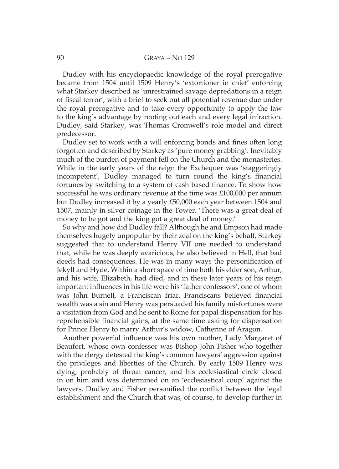Dudley with his encyclopaedic knowledge of the royal prerogative became from 1504 until 1509 Henry's 'extortioner in chief' enforcing what Starkey described as 'unrestrained savage depredations in a reign of fiscal terror', with a brief to seek out all potential revenue due under the royal prerogative and to take every opportunity to apply the law to the king's advantage by rooting out each and every legal infraction. Dudley, said Starkey, was Thomas Cromwell's role model and direct predecessor.

Dudley set to work with a will enforcing bonds and fines often long forgotten and described by Starkey as 'pure money grabbing'. Inevitably much of the burden of payment fell on the Church and the monasteries. While in the early years of the reign the Exchequer was 'staggeringly incompetent', Dudley managed to turn round the king's financial fortunes by switching to a system of cash based finance. To show how successful he was ordinary revenue at the time was  $\text{\pounds}100,000$  per annum but Dudley increased it by a yearly £50,000 each year between 1504 and 1507, mainly in silver coinage in the Tower. 'There was a great deal of money to be got and the king got a great deal of money.'

So why and how did Dudley fall? Although he and Empson had made themselves hugely unpopular by their zeal on the king's behalf, Starkey suggested that to understand Henry VII one needed to understand that, while he was deeply avaricious, he also believed in Hell, that bad deeds had consequences. He was in many ways the personification of Jekyll and Hyde. Within a short space of time both his elder son, Arthur, and his wife, Elizabeth, had died, and in these later years of his reign important influences in his life were his 'father confessors', one of whom was John Burnell, a Franciscan friar. Franciscans believed financial wealth was a sin and Henry was persuaded his family misfortunes were a visitation from God and he sent to Rome for papal dispensation for his reprehensible financial gains, at the same time asking for dispensation for Prince Henry to marry Arthur's widow, Catherine of Aragon.

Another powerful influence was his own mother, Lady Margaret of Beaufort, whose own confessor was Bishop John Fisher who together with the clergy detested the king's common lawyers' aggression against the privileges and liberties of the Church. By early 1509 Henry was dying, probably of throat cancer, and his ecclesiastical circle closed in on him and was determined on an 'ecclesiastical coup' against the lawyers. Dudley and Fisher personified the conflict between the legal establishment and the Church that was, of course, to develop further in